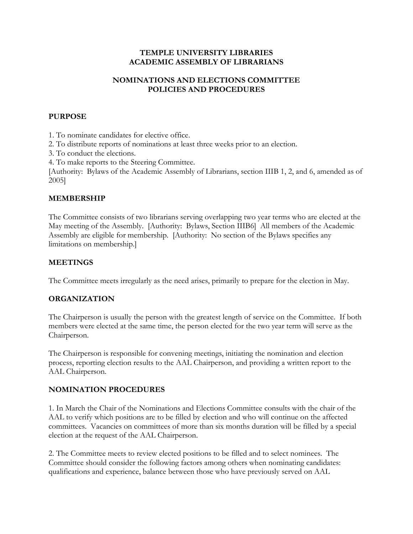#### TEMPLE UNIVERSITY LIBRARIES ACADEMIC ASSEMBLY OF LIBRARIANS

## NOMINATIONS AND ELECTIONS COMMITTEE POLICIES AND PROCEDURES

#### **PURPOSE**

1. To nominate candidates for elective office.

2. To distribute reports of nominations at least three weeks prior to an election.

3. To conduct the elections.

4. To make reports to the Steering Committee.

[Authority: Bylaws of the Academic Assembly of Librarians, section IIIB 1, 2, and 6, amended as of 2005]

## MEMBERSHIP

The Committee consists of two librarians serving overlapping two year terms who are elected at the May meeting of the Assembly. [Authority: Bylaws, Section IIIB6] All members of the Academic Assembly are eligible for membership. [Authority: No section of the Bylaws specifies any limitations on membership.]

## MEETINGS

The Committee meets irregularly as the need arises, primarily to prepare for the election in May.

# ORGANIZATION

The Chairperson is usually the person with the greatest length of service on the Committee. If both members were elected at the same time, the person elected for the two year term will serve as the Chairperson.

The Chairperson is responsible for convening meetings, initiating the nomination and election process, reporting election results to the AAL Chairperson, and providing a written report to the AAL Chairperson.

# NOMINATION PROCEDURES

1. In March the Chair of the Nominations and Elections Committee consults with the chair of the AAL to verify which positions are to be filled by election and who will continue on the affected committees. Vacancies on committees of more than six months duration will be filled by a special election at the request of the AAL Chairperson.

2. The Committee meets to review elected positions to be filled and to select nominees. The Committee should consider the following factors among others when nominating candidates: qualifications and experience, balance between those who have previously served on AAL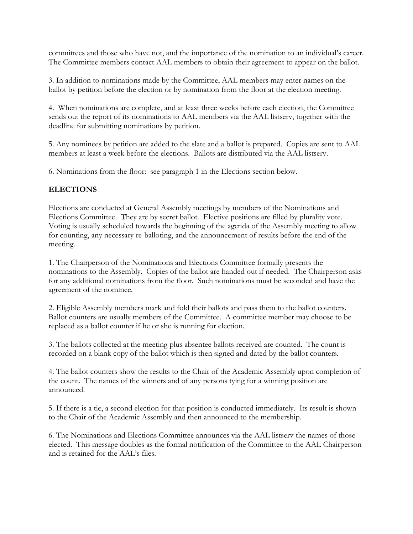committees and those who have not, and the importance of the nomination to an individual's career. The Committee members contact AAL members to obtain their agreement to appear on the ballot.

3. In addition to nominations made by the Committee, AAL members may enter names on the ballot by petition before the election or by nomination from the floor at the election meeting.

4. When nominations are complete, and at least three weeks before each election, the Committee sends out the report of its nominations to AAL members via the AAL listserv, together with the deadline for submitting nominations by petition.

5. Any nominees by petition are added to the slate and a ballot is prepared. Copies are sent to AAL members at least a week before the elections. Ballots are distributed via the AAL listserv.

6. Nominations from the floor: see paragraph 1 in the Elections section below.

# ELECTIONS

Elections are conducted at General Assembly meetings by members of the Nominations and Elections Committee. They are by secret ballot. Elective positions are filled by plurality vote. Voting is usually scheduled towards the beginning of the agenda of the Assembly meeting to allow for counting, any necessary re-balloting, and the announcement of results before the end of the meeting.

1. The Chairperson of the Nominations and Elections Committee formally presents the nominations to the Assembly. Copies of the ballot are handed out if needed. The Chairperson asks for any additional nominations from the floor. Such nominations must be seconded and have the agreement of the nominee.

2. Eligible Assembly members mark and fold their ballots and pass them to the ballot counters. Ballot counters are usually members of the Committee. A committee member may choose to be replaced as a ballot counter if he or she is running for election.

3. The ballots collected at the meeting plus absentee ballots received are counted. The count is recorded on a blank copy of the ballot which is then signed and dated by the ballot counters.

4. The ballot counters show the results to the Chair of the Academic Assembly upon completion of the count. The names of the winners and of any persons tying for a winning position are announced.

5. If there is a tie, a second election for that position is conducted immediately. Its result is shown to the Chair of the Academic Assembly and then announced to the membership.

6. The Nominations and Elections Committee announces via the AAL listserv the names of those elected. This message doubles as the formal notification of the Committee to the AAL Chairperson and is retained for the AAL's files.